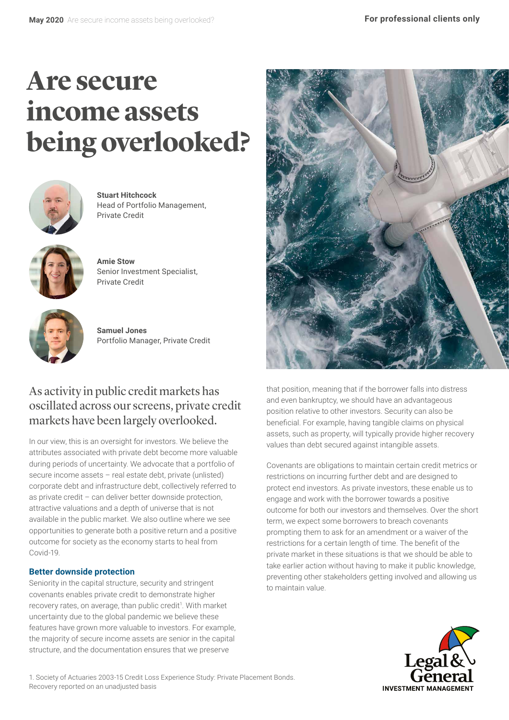# **Are secure income assets being overlooked?**



**Stuart Hitchcock** Head of Portfolio Management, Private Credit



**Amie Stow** Senior Investment Specialist, Private Credit



**Samuel Jones** Portfolio Manager, Private Credit

## As activity in public credit markets has oscillated across our screens, private credit markets have been largely overlooked.

In our view, this is an oversight for investors. We believe the attributes associated with private debt become more valuable during periods of uncertainty. We advocate that a portfolio of secure income assets – real estate debt, private (unlisted) corporate debt and infrastructure debt, collectively referred to as private credit – can deliver better downside protection, attractive valuations and a depth of universe that is not available in the public market. We also outline where we see opportunities to generate both a positive return and a positive outcome for society as the economy starts to heal from Covid-19.

## **Better downside protection**

Seniority in the capital structure, security and stringent covenants enables private credit to demonstrate higher recovery rates, on average, than public credit<sup>1</sup>. With market uncertainty due to the global pandemic we believe these features have grown more valuable to investors. For example, the majority of secure income assets are senior in the capital structure, and the documentation ensures that we preserve



that position, meaning that if the borrower falls into distress and even bankruptcy, we should have an advantageous position relative to other investors. Security can also be beneficial. For example, having tangible claims on physical assets, such as property, will typically provide higher recovery values than debt secured against intangible assets.

Covenants are obligations to maintain certain credit metrics or restrictions on incurring further debt and are designed to protect end investors. As private investors, these enable us to engage and work with the borrower towards a positive outcome for both our investors and themselves. Over the short term, we expect some borrowers to breach covenants prompting them to ask for an amendment or a waiver of the restrictions for a certain length of time. The benefit of the private market in these situations is that we should be able to take earlier action without having to make it public knowledge, preventing other stakeholders getting involved and allowing us to maintain value.



1. Society of Actuaries 2003-15 Credit Loss Experience Study: Private Placement Bonds. Recovery reported on an unadjusted basis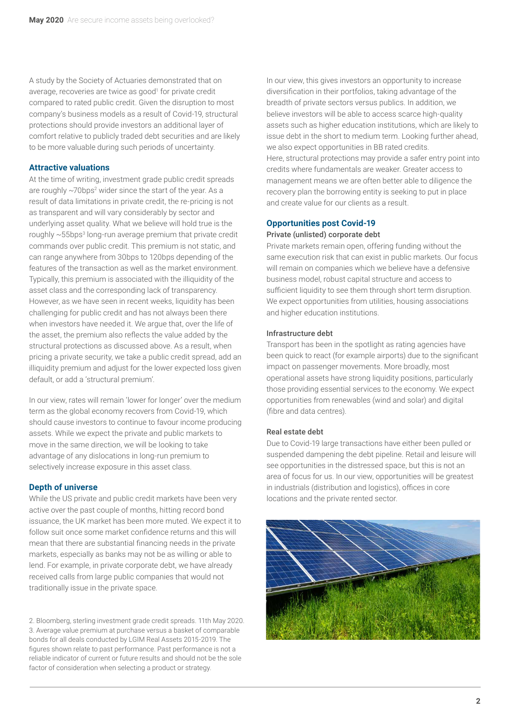A study by the Society of Actuaries demonstrated that on average, recoveries are twice as good<sup>1</sup> for private credit compared to rated public credit. Given the disruption to most company's business models as a result of Covid-19, structural protections should provide investors an additional layer of comfort relative to publicly traded debt securities and are likely to be more valuable during such periods of uncertainty.

#### **Attractive valuations**

At the time of writing, investment grade public credit spreads are roughly  $\sim$ 70bps<sup>2</sup> wider since the start of the year. As a result of data limitations in private credit, the re-pricing is not as transparent and will vary considerably by sector and underlying asset quality. What we believe will hold true is the roughly  $\sim$ 55bps<sup>3</sup> long-run average premium that private credit commands over public credit. This premium is not static, and can range anywhere from 30bps to 120bps depending of the features of the transaction as well as the market environment. Typically, this premium is associated with the illiquidity of the asset class and the corresponding lack of transparency. However, as we have seen in recent weeks, liquidity has been challenging for public credit and has not always been there when investors have needed it. We argue that, over the life of the asset, the premium also reflects the value added by the structural protections as discussed above. As a result, when pricing a private security, we take a public credit spread, add an illiquidity premium and adjust for the lower expected loss given default, or add a 'structural premium'.

In our view, rates will remain 'lower for longer' over the medium term as the global economy recovers from Covid-19, which should cause investors to continue to favour income producing assets. While we expect the private and public markets to move in the same direction, we will be looking to take advantage of any dislocations in long-run premium to selectively increase exposure in this asset class.

#### **Depth of universe**

While the US private and public credit markets have been very active over the past couple of months, hitting record bond issuance, the UK market has been more muted. We expect it to follow suit once some market confidence returns and this will mean that there are substantial financing needs in the private markets, especially as banks may not be as willing or able to lend. For example, in private corporate debt, we have already received calls from large public companies that would not traditionally issue in the private space.

2. Bloomberg, sterling investment grade credit spreads. 11th May 2020. 3. Average value premium at purchase versus a basket of comparable bonds for all deals conducted by LGIM Real Assets 2015-2019. The figures shown relate to past performance. Past performance is not a reliable indicator of current or future results and should not be the sole factor of consideration when selecting a product or strategy.

In our view, this gives investors an opportunity to increase diversification in their portfolios, taking advantage of the breadth of private sectors versus publics. In addition, we believe investors will be able to access scarce high-quality assets such as higher education institutions, which are likely to issue debt in the short to medium term. Looking further ahead, we also expect opportunities in BB rated credits. Here, structural protections may provide a safer entry point into credits where fundamentals are weaker. Greater access to management means we are often better able to diligence the recovery plan the borrowing entity is seeking to put in place and create value for our clients as a result.

### **Opportunities post Covid-19**

#### Private (unlisted) corporate debt

Private markets remain open, offering funding without the same execution risk that can exist in public markets. Our focus will remain on companies which we believe have a defensive business model, robust capital structure and access to sufficient liquidity to see them through short term disruption. We expect opportunities from utilities, housing associations and higher education institutions.

#### Infrastructure debt

Transport has been in the spotlight as rating agencies have been quick to react (for example airports) due to the significant impact on passenger movements. More broadly, most operational assets have strong liquidity positions, particularly those providing essential services to the economy. We expect opportunities from renewables (wind and solar) and digital (fibre and data centres).

#### Real estate debt

Due to Covid-19 large transactions have either been pulled or suspended dampening the debt pipeline. Retail and leisure will see opportunities in the distressed space, but this is not an area of focus for us. In our view, opportunities will be greatest in industrials (distribution and logistics), offices in core locations and the private rented sector.